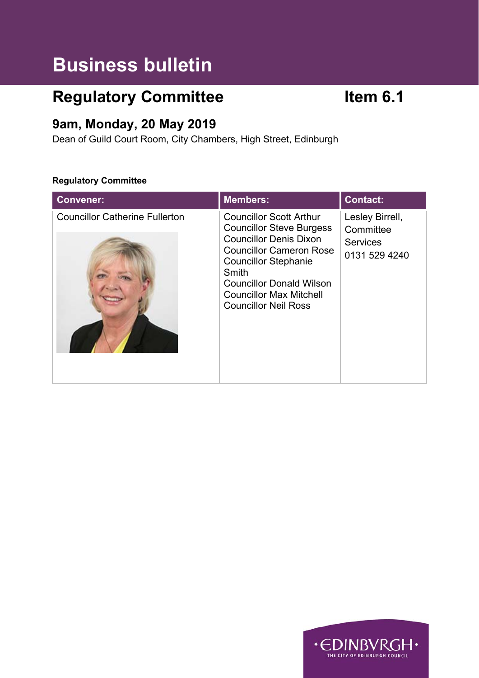# **Business bulletin**

# **Regulatory Committee <b>Item 6.1**

# **9am, Monday, 20 May 2019**

Dean of Guild Court Room, City Chambers, High Street, Edinburgh

### **Regulatory Committee**

| <b>Convener:</b>                      | <b>Members:</b>                                                                                                                                                                                                                                                                  | <b>Contact:</b>                                                  |
|---------------------------------------|----------------------------------------------------------------------------------------------------------------------------------------------------------------------------------------------------------------------------------------------------------------------------------|------------------------------------------------------------------|
| <b>Councillor Catherine Fullerton</b> | <b>Councillor Scott Arthur</b><br><b>Councillor Steve Burgess</b><br><b>Councillor Denis Dixon</b><br><b>Councillor Cameron Rose</b><br><b>Councillor Stephanie</b><br>Smith<br><b>Councillor Donald Wilson</b><br><b>Councillor Max Mitchell</b><br><b>Councillor Neil Ross</b> | Lesley Birrell,<br>Committee<br><b>Services</b><br>0131 529 4240 |

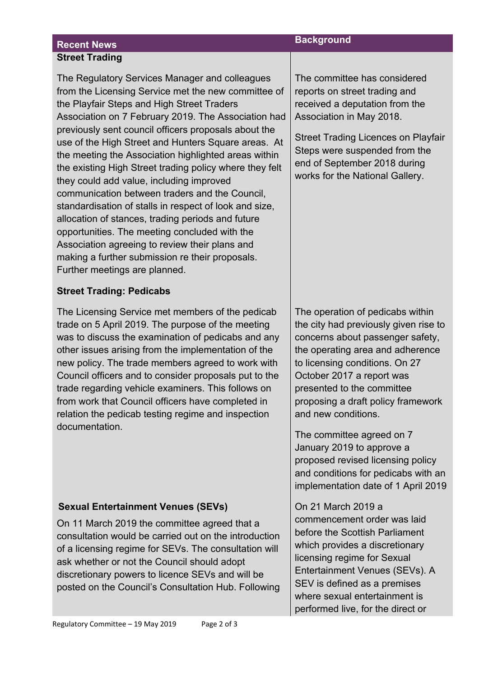# **Recent News** *Background* **Street Trading**

The Regulatory Services Manager and colleagues from the Licensing Service met the new committee of the Playfair Steps and High Street Traders Association on 7 February 2019. The Association had previously sent council officers proposals about the use of the High Street and Hunters Square areas. At the meeting the Association highlighted areas within the existing High Street trading policy where they felt they could add value, including improved communication between traders and the Council, standardisation of stalls in respect of look and size, allocation of stances, trading periods and future opportunities. The meeting concluded with the Association agreeing to review their plans and making a further submission re their proposals. Further meetings are planned.

### **Street Trading: Pedicabs**

The Licensing Service met members of the pedicab trade on 5 April 2019. The purpose of the meeting was to discuss the examination of pedicabs and any other issues arising from the implementation of the new policy. The trade members agreed to work with Council officers and to consider proposals put to the trade regarding vehicle examiners. This follows on from work that Council officers have completed in relation the pedicab testing regime and inspection documentation.

## **Sexual Entertainment Venues (SEVs)**

On 11 March 2019 the committee agreed that a consultation would be carried out on the introduction of a licensing regime for SEVs. The consultation will ask whether or not the Council should adopt discretionary powers to licence SEVs and will be posted on the Council's Consultation Hub. Following The committee has considered reports on street trading and received a deputation from the Association in May 2018.

Street Trading Licences on Playfair Steps were suspended from the end of September 2018 during works for the National Gallery.

The operation of pedicabs within the city had previously given rise to concerns about passenger safety, the operating area and adherence to licensing conditions. On 27 October 2017 a report was presented to the committee proposing a draft policy framework and new conditions.

The committee agreed on 7 January 2019 to approve a proposed revised licensing policy and conditions for pedicabs with an implementation date of 1 April 2019

On 21 March 2019 a commencement order was laid before the Scottish Parliament which provides a discretionary licensing regime for Sexual Entertainment Venues (SEVs). A SEV is defined as a premises where sexual entertainment is performed live, for the direct or